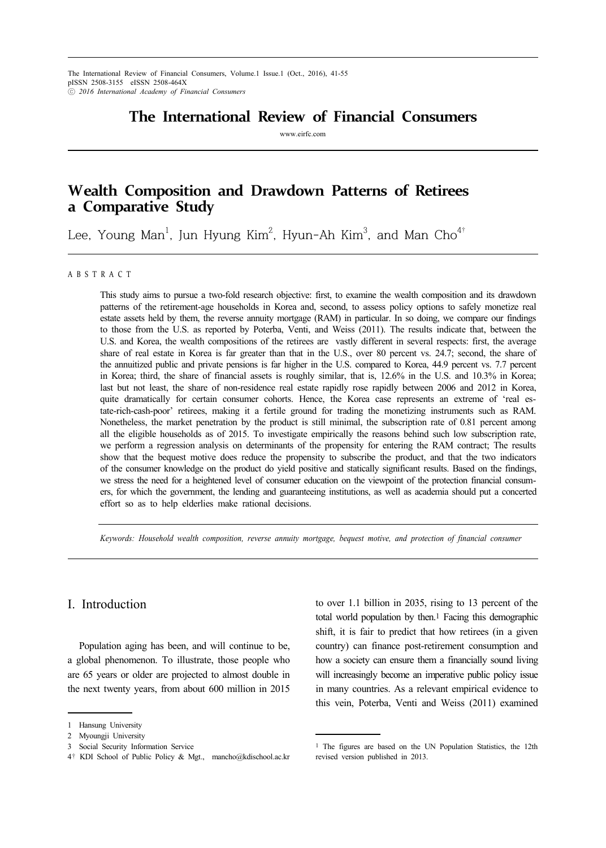The International Review of Financial Consumers, Volume.1 Issue.1 (Oct., 2016), 41-55 pISSN 2508-3155 eISSN 2508-464X ⓒ *2016 International Academy of Financial Consumers*

# **The International Review of Financial Consumers**

www.eirfc.com

# **Wealth Composition and Drawdown Patterns of Retirees a Comparative Study**

Lee, Young Man $^{\rm l}$ , Jun Hyung Kim $^{\rm 2}$ , Hyun-Ah Kim $^{\rm 3}$ , and Man Cho $^{\rm 4^{\rm t}}$ 

#### A B S T R A C T

This study aims to pursue a two-fold research objective: first, to examine the wealth composition and its drawdown patterns of the retirement-age households in Korea and, second, to assess policy options to safely monetize real estate assets held by them, the reverse annuity mortgage (RAM) in particular. In so doing, we compare our findings to those from the U.S. as reported by Poterba, Venti, and Weiss (2011). The results indicate that, between the U.S. and Korea, the wealth compositions of the retirees are vastly different in several respects: first, the average share of real estate in Korea is far greater than that in the U.S., over 80 percent vs. 24.7; second, the share of the annuitized public and private pensions is far higher in the U.S. compared to Korea, 44.9 percent vs. 7.7 percent in Korea; third, the share of financial assets is roughly similar, that is, 12.6% in the U.S. and 10.3% in Korea; last but not least, the share of non-residence real estate rapidly rose rapidly between 2006 and 2012 in Korea, quite dramatically for certain consumer cohorts. Hence, the Korea case represents an extreme of 'real estate-rich-cash-poor' retirees, making it a fertile ground for trading the monetizing instruments such as RAM. Nonetheless, the market penetration by the product is still minimal, the subscription rate of 0.81 percent among all the eligible households as of 2015. To investigate empirically the reasons behind such low subscription rate, we perform a regression analysis on determinants of the propensity for entering the RAM contract; The results show that the bequest motive does reduce the propensity to subscribe the product, and that the two indicators of the consumer knowledge on the product do yield positive and statically significant results. Based on the findings, we stress the need for a heightened level of consumer education on the viewpoint of the protection financial consumers, for which the government, the lending and guaranteeing institutions, as well as academia should put a concerted effort so as to help elderlies make rational decisions.

*Keywords: Household wealth composition, reverse annuity mortgage, bequest motive, and protection of financial consumer*

## I. Introduction

Population aging has been, and will continue to be, a global phenomenon. To illustrate, those people who are 65 years or older are projected to almost double in the next twenty years, from about 600 million in 2015 to over 1.1 billion in 2035, rising to 13 percent of the total world population by then.1 Facing this demographic shift, it is fair to predict that how retirees (in a given country) can finance post-retirement consumption and how a society can ensure them a financially sound living will increasingly become an imperative public policy issue in many countries. As a relevant empirical evidence to this vein, Poterba, Venti and Weiss (2011) examined

<sup>1</sup> Hansung University

<sup>2</sup> Myoungji University

<sup>3</sup> Social Security Information Service

<sup>4</sup>† KDI School of Public Policy & Mgt., mancho@kdischool.ac.kr

<sup>1</sup> The figures are based on the UN Population Statistics, the 12th revised version published in 2013.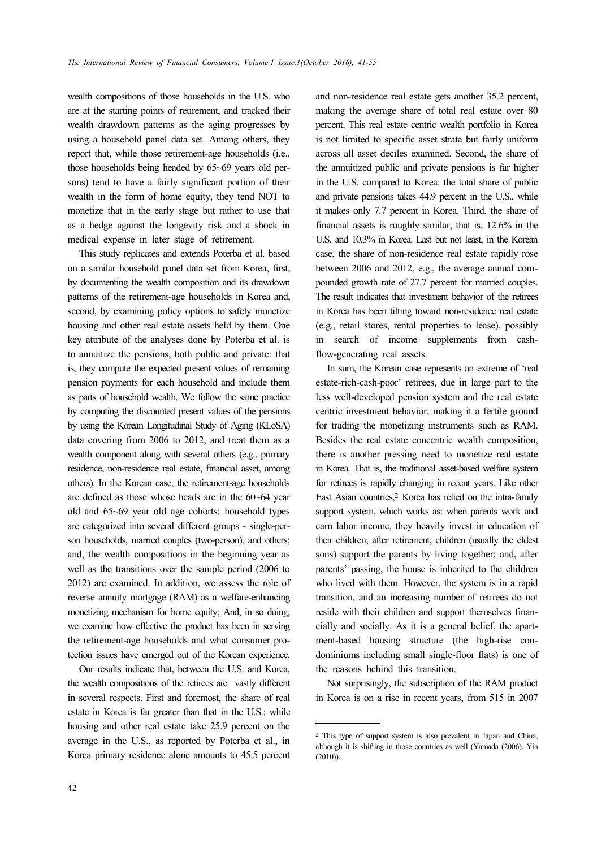wealth compositions of those households in the U.S. who are at the starting points of retirement, and tracked their wealth drawdown patterns as the aging progresses by using a household panel data set. Among others, they report that, while those retirement-age households (i.e., those households being headed by 65~69 years old persons) tend to have a fairly significant portion of their wealth in the form of home equity, they tend NOT to monetize that in the early stage but rather to use that as a hedge against the longevity risk and a shock in medical expense in later stage of retirement.

This study replicates and extends Poterba et al. based on a similar household panel data set from Korea, first, by documenting the wealth composition and its drawdown patterns of the retirement-age households in Korea and, second, by examining policy options to safely monetize housing and other real estate assets held by them. One key attribute of the analyses done by Poterba et al. is to annuitize the pensions, both public and private: that is, they compute the expected present values of remaining pension payments for each household and include them as parts of household wealth. We follow the same practice by computing the discounted present values of the pensions by using the Korean Longitudinal Study of Aging (KLoSA) data covering from 2006 to 2012, and treat them as a wealth component along with several others (e.g., primary residence, non-residence real estate, financial asset, among others). In the Korean case, the retirement-age households are defined as those whose heads are in the 60~64 year old and 65~69 year old age cohorts; household types are categorized into several different groups - single-person households, married couples (two-person), and others; and, the wealth compositions in the beginning year as well as the transitions over the sample period (2006 to 2012) are examined. In addition, we assess the role of reverse annuity mortgage (RAM) as a welfare-enhancing monetizing mechanism for home equity; And, in so doing, we examine how effective the product has been in serving the retirement-age households and what consumer protection issues have emerged out of the Korean experience.

Our results indicate that, between the U.S. and Korea, the wealth compositions of the retirees are vastly different in several respects. First and foremost, the share of real estate in Korea is far greater than that in the U.S.: while housing and other real estate take 25.9 percent on the average in the U.S., as reported by Poterba et al., in Korea primary residence alone amounts to 45.5 percent

and non-residence real estate gets another 35.2 percent, making the average share of total real estate over 80 percent. This real estate centric wealth portfolio in Korea is not limited to specific asset strata but fairly uniform across all asset deciles examined. Second, the share of the annuitized public and private pensions is far higher in the U.S. compared to Korea: the total share of public and private pensions takes 44.9 percent in the U.S., while it makes only 7.7 percent in Korea. Third, the share of financial assets is roughly similar, that is, 12.6% in the U.S. and 10.3% in Korea. Last but not least, in the Korean case, the share of non-residence real estate rapidly rose between 2006 and 2012, e.g., the average annual compounded growth rate of 27.7 percent for married couples. The result indicates that investment behavior of the retirees in Korea has been tilting toward non-residence real estate (e.g., retail stores, rental properties to lease), possibly in search of income supplements from cashflow-generating real assets.

In sum, the Korean case represents an extreme of 'real estate-rich-cash-poor' retirees, due in large part to the less well-developed pension system and the real estate centric investment behavior, making it a fertile ground for trading the monetizing instruments such as RAM. Besides the real estate concentric wealth composition, there is another pressing need to monetize real estate in Korea. That is, the traditional asset-based welfare system for retirees is rapidly changing in recent years. Like other East Asian countries,<sup>2</sup> Korea has relied on the intra-family support system, which works as: when parents work and earn labor income, they heavily invest in education of their children; after retirement, children (usually the eldest sons) support the parents by living together; and, after parents' passing, the house is inherited to the children who lived with them. However, the system is in a rapid transition, and an increasing number of retirees do not reside with their children and support themselves financially and socially. As it is a general belief, the apartment-based housing structure (the high-rise condominiums including small single-floor flats) is one of the reasons behind this transition.

Not surprisingly, the subscription of the RAM product in Korea is on a rise in recent years, from 515 in 2007

<sup>2</sup> This type of support system is also prevalent in Japan and China, although it is shifting in those countries as well (Yamada (2006), Yin (2010)).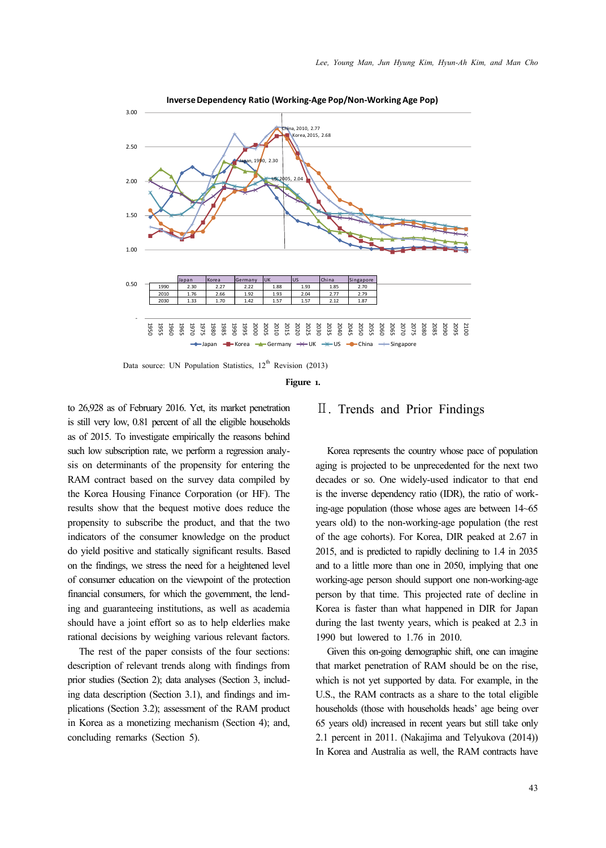

Data source: UN Population Statistics,  $12<sup>th</sup>$  Revision (2013)

**Figure 1.**

to 26,928 as of February 2016. Yet, its market penetration is still very low, 0.81 percent of all the eligible households as of 2015. To investigate empirically the reasons behind such low subscription rate, we perform a regression analysis on determinants of the propensity for entering the RAM contract based on the survey data compiled by the Korea Housing Finance Corporation (or HF). The results show that the bequest motive does reduce the propensity to subscribe the product, and that the two indicators of the consumer knowledge on the product do yield positive and statically significant results. Based on the findings, we stress the need for a heightened level of consumer education on the viewpoint of the protection financial consumers, for which the government, the lending and guaranteeing institutions, as well as academia should have a joint effort so as to help elderlies make rational decisions by weighing various relevant factors.

The rest of the paper consists of the four sections: description of relevant trends along with findings from prior studies (Section 2); data analyses (Section 3, including data description (Section 3.1), and findings and implications (Section 3.2); assessment of the RAM product in Korea as a monetizing mechanism (Section 4); and, concluding remarks (Section 5).

## Ⅱ. Trends and Prior Findings

Korea represents the country whose pace of population aging is projected to be unprecedented for the next two decades or so. One widely-used indicator to that end is the inverse dependency ratio (IDR), the ratio of working-age population (those whose ages are between 14~65 years old) to the non-working-age population (the rest of the age cohorts). For Korea, DIR peaked at 2.67 in 2015, and is predicted to rapidly declining to 1.4 in 2035 and to a little more than one in 2050, implying that one working-age person should support one non-working-age person by that time. This projected rate of decline in Korea is faster than what happened in DIR for Japan during the last twenty years, which is peaked at 2.3 in 1990 but lowered to 1.76 in 2010.

Given this on-going demographic shift, one can imagine that market penetration of RAM should be on the rise, which is not yet supported by data. For example, in the U.S., the RAM contracts as a share to the total eligible households (those with households heads' age being over 65 years old) increased in recent years but still take only 2.1 percent in 2011. (Nakajima and Telyukova (2014)) In Korea and Australia as well, the RAM contracts have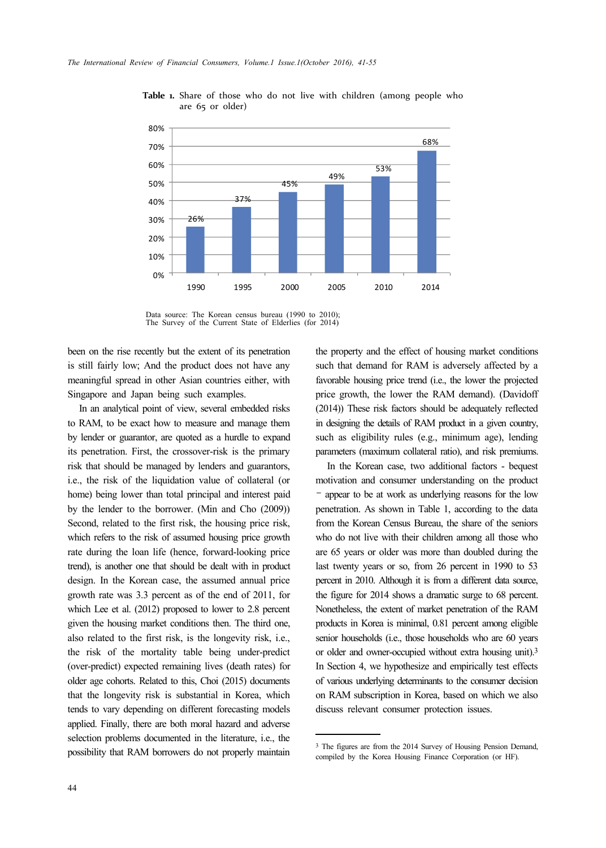

**Table 1.** Share of those who do not live with children (among people who are 65 or older)

Data source: The Korean census bureau (1990 to 2010); The Survey of the Current State of Elderlies (for 2014)

been on the rise recently but the extent of its penetration is still fairly low; And the product does not have any meaningful spread in other Asian countries either, with Singapore and Japan being such examples.

In an analytical point of view, several embedded risks to RAM, to be exact how to measure and manage them by lender or guarantor, are quoted as a hurdle to expand its penetration. First, the crossover-risk is the primary risk that should be managed by lenders and guarantors, i.e., the risk of the liquidation value of collateral (or home) being lower than total principal and interest paid by the lender to the borrower. (Min and Cho (2009)) Second, related to the first risk, the housing price risk, which refers to the risk of assumed housing price growth rate during the loan life (hence, forward-looking price trend), is another one that should be dealt with in product design. In the Korean case, the assumed annual price growth rate was 3.3 percent as of the end of 2011, for which Lee et al. (2012) proposed to lower to 2.8 percent given the housing market conditions then. The third one, also related to the first risk, is the longevity risk, i.e., the risk of the mortality table being under-predict (over-predict) expected remaining lives (death rates) for older age cohorts. Related to this, Choi (2015) documents that the longevity risk is substantial in Korea, which tends to vary depending on different forecasting models applied. Finally, there are both moral hazard and adverse selection problems documented in the literature, i.e., the possibility that RAM borrowers do not properly maintain the property and the effect of housing market conditions such that demand for RAM is adversely affected by a favorable housing price trend (i.e., the lower the projected price growth, the lower the RAM demand). (Davidoff (2014)) These risk factors should be adequately reflected in designing the details of RAM product in a given country, such as eligibility rules (e.g., minimum age), lending parameters (maximum collateral ratio), and risk premiums.

In the Korean case, two additional factors - bequest motivation and consumer understanding on the product – appear to be at work as underlying reasons for the low penetration. As shown in Table 1, according to the data from the Korean Census Bureau, the share of the seniors who do not live with their children among all those who are 65 years or older was more than doubled during the last twenty years or so, from 26 percent in 1990 to 53 percent in 2010. Although it is from a different data source, the figure for 2014 shows a dramatic surge to 68 percent. Nonetheless, the extent of market penetration of the RAM products in Korea is minimal, 0.81 percent among eligible senior households (i.e., those households who are 60 years or older and owner-occupied without extra housing unit).3 In Section 4, we hypothesize and empirically test effects of various underlying determinants to the consumer decision on RAM subscription in Korea, based on which we also discuss relevant consumer protection issues.

<sup>3</sup> The figures are from the 2014 Survey of Housing Pension Demand, compiled by the Korea Housing Finance Corporation (or HF).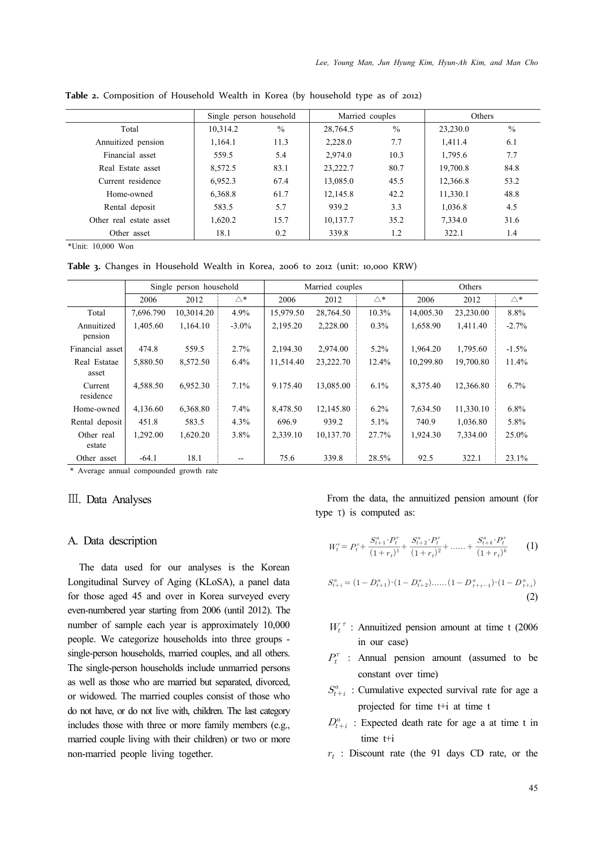|                         | Single person household |               | Married couples |               | Others   |               |
|-------------------------|-------------------------|---------------|-----------------|---------------|----------|---------------|
| Total                   | 10.314.2                | $\frac{0}{0}$ | 28,764.5        | $\frac{0}{0}$ | 23,230.0 | $\frac{0}{0}$ |
| Annuitized pension      | 1.164.1                 | 11.3          | 2,228.0         | 7.7           | 1.411.4  | 6.1           |
| Financial asset         | 559.5                   | 5.4           | 2.974.0         | 10.3          | 1,795.6  | 7.7           |
| Real Estate asset       | 8,572.5                 | 83.1          | 23,222.7        | 80.7          | 19,700.8 | 84.8          |
| Current residence       | 6.952.3                 | 67.4          | 13,085.0        | 45.5          | 12,366.8 | 53.2          |
| Home-owned              | 6,368.8                 | 61.7          | 12.145.8        | 42.2          | 11,330.1 | 48.8          |
| Rental deposit          | 583.5                   | 5.7           | 939.2           | 3.3           | 1,036.8  | 4.5           |
| Other real estate asset | 1,620.2                 | 15.7          | 10.137.7        | 35.2          | 7.334.0  | 31.6          |
| Other asset             | 18.1                    | 0.2           | 339.8           | 1.2           | 322.1    | 1.4           |

**Table 2.** Composition of Household Wealth in Korea (by household type as of 2012)

\*Unit: 10,000 Won

**Table 3.** Changes in Household Wealth in Korea, 2006 to 2012 (unit: 10,000 KRW)

|                       | Single person household |            |          | Married couples |           |              | Others    |           |               |
|-----------------------|-------------------------|------------|----------|-----------------|-----------|--------------|-----------|-----------|---------------|
|                       | 2006                    | 2012       | △*       | 2006            | 2012      | $\triangle*$ | 2006      | 2012      | $\triangle^*$ |
| Total                 | 7,696.790               | 10,3014.20 | 4.9%     | 15,979.50       | 28,764.50 | 10.3%        | 14,005.30 | 23,230.00 | 8.8%          |
| Annuitized<br>pension | 1.405.60                | 1.164.10   | $-3.0\%$ | 2.195.20        | 2,228.00  | $0.3\%$      | 1.658.90  | 1.411.40  | $-2.7%$       |
| Financial asset       | 474.8                   | 559.5      | 2.7%     | 2,194.30        | 2,974.00  | $5.2\%$      | 1.964.20  | 1,795.60  | $-1.5%$       |
| Real Estatae<br>asset | 5,880.50                | 8,572.50   | 6.4%     | 11.514.40       | 23,222.70 | 12.4%        | 10.299.80 | 19,700.80 | 11.4%         |
| Current<br>residence  | 4,588.50                | 6,952.30   | $7.1\%$  | 9.175.40        | 13,085.00 | $6.1\%$      | 8,375.40  | 12,366.80 | 6.7%          |
| Home-owned            | 4,136.60                | 6,368.80   | 7.4%     | 8,478.50        | 12,145.80 | $6.2\%$      | 7,634.50  | 11,330.10 | 6.8%          |
| Rental deposit        | 451.8                   | 583.5      | 4.3%     | 696.9           | 939.2     | 5.1%         | 740.9     | 1.036.80  | 5.8%          |
| Other real<br>estate  | 1.292.00                | 1.620.20   | 3.8%     | 2,339.10        | 10.137.70 | 27.7%        | 1.924.30  | 7.334.00  | 25.0%         |
| Other asset           | $-64.1$                 | 18.1       | --       | 75.6            | 339.8     | 28.5%        | 92.5      | 322.1     | 23.1%         |

\* Average annual compounded growth rate

#### Ⅲ. Data Analyses

#### A. Data description

The data used for our analyses is the Korean Longitudinal Survey of Aging (KLoSA), a panel data for those aged 45 and over in Korea surveyed every even-numbered year starting from 2006 (until 2012). The number of sample each year is approximately 10,000 people. We categorize households into three groups single-person households, married couples, and all others. The single-person households include unmarried persons as well as those who are married but separated, divorced, or widowed. The married couples consist of those who do not have, or do not live with, children. The last category includes those with three or more family members (e.g., married couple living with their children) or two or more non-married people living together.

From the data, the annuitized pension amount (for

type T) is computed as:  
\n
$$
W_t^{\tau} = P_t^{\tau} + \frac{S_{t+1}^a \cdot P_t^{\tau}}{(1+r_t)^1} + \frac{S_{t+2}^a \cdot P_t^{\tau}}{(1+r_t)^2} + \dots + \frac{S_{t+k}^a \cdot P_t^{\tau}}{(1+r_t)^k}
$$
 (1)

$$
S_{t+i}^{a} = (1 - D_{t+1}^{a}) \cdot (1 - D_{t+2}^{a}) \cdot \dots \cdot (1 - D_{t+i-1}^{a}) \cdot (1 - D_{t+i}^{a})
$$
\n
$$
(2)
$$

- $W_t^{\tau}$ : Annuitized pension amount at time t (2006 in our case)
- $P_t^{\tau}$  : Annual pension amount (assumed to be constant over time)
- $S_{t+i}^a$ : Cumulative expected survival rate for age a projected for time t+i at time t
- $D_{t+i}^a$ : Expected death rate for age a at time t in time t+i
- $r_t$ : Discount rate (the 91 days CD rate, or the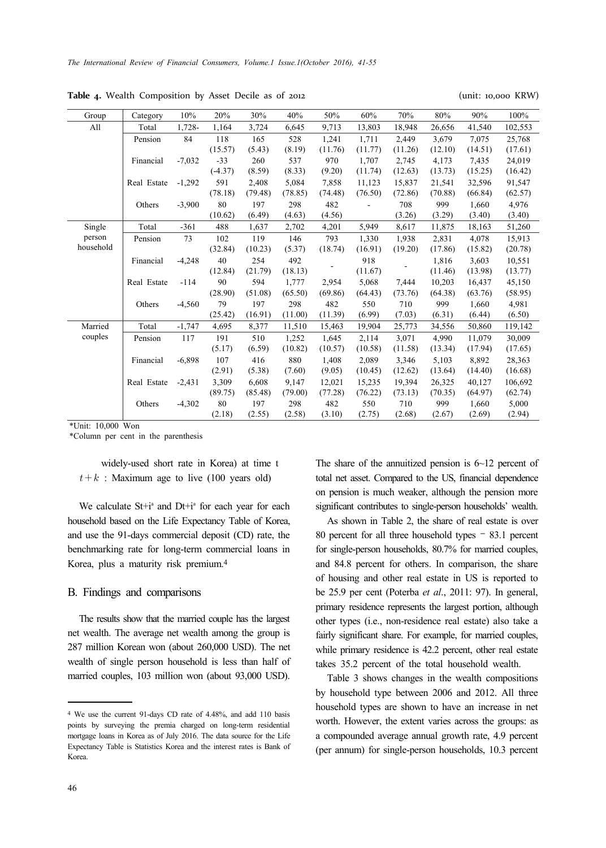**Table 4.** Wealth Composition by Asset Decile as of 2012 (unit: 10,000 KRW)

| Group     | Category    | 10%      | 20%       | 30%     | 40%     | 50%     | 60%     | 70%     | 80%     | 90%     | 100%    |
|-----------|-------------|----------|-----------|---------|---------|---------|---------|---------|---------|---------|---------|
| All       | Total       | 1,728-   | 1,164     | 3,724   | 6,645   | 9,713   | 13,803  | 18,948  | 26,656  | 41,540  | 102,553 |
|           | Pension     | 84       | 118       | 165     | 528     | 1.241   | 1.711   | 2.449   | 3.679   | 7.075   | 25,768  |
|           |             |          | (15.57)   | (5.43)  | (8.19)  | (11.76) | (11.77) | (11.26) | (12.10) | (14.51) | (17.61) |
|           | Financial   | $-7,032$ | $-33$     | 260     | 537     | 970     | 1.707   | 2.745   | 4.173   | 7.435   | 24,019  |
|           |             |          | $(-4.37)$ | (8.59)  | (8.33)  | (9.20)  | (11.74) | (12.63) | (13.73) | (15.25) | (16.42) |
|           | Real Estate | $-1,292$ | 591       | 2,408   | 5,084   | 7,858   | 11,123  | 15,837  | 21,541  | 32,596  | 91,547  |
|           |             |          | (78.18)   | (79.48) | (78.85) | (74.48) | (76.50) | (72.86) | (70.88) | (66.84) | (62.57) |
|           | Others      | $-3,900$ | 80        | 197     | 298     | 482     |         | 708     | 999     | 1.660   | 4,976   |
|           |             |          | (10.62)   | (6.49)  | (4.63)  | (4.56)  |         | (3.26)  | (3.29)  | (3.40)  | (3.40)  |
| Single    | Total       | $-361$   | 488       | 1,637   | 2,702   | 4,201   | 5,949   | 8,617   | 11,875  | 18,163  | 51,260  |
| person    | Pension     | 73       | 102       | 119     | 146     | 793     | 1,330   | 1,938   | 2,831   | 4,078   | 15,913  |
| household |             |          | (32.84)   | (10.23) | (5.37)  | (18.74) | (16.91) | (19.20) | (17.86) | (15.82) | (20.78) |
|           | Financial   | $-4,248$ | 40        | 254     | 492     |         | 918     |         | 1,816   | 3,603   | 10,551  |
|           |             |          | (12.84)   | (21.79) | (18.13) |         | (11.67) |         | (11.46) | (13.98) | (13.77) |
|           | Real Estate | $-114$   | 90        | 594     | 1,777   | 2,954   | 5,068   | 7,444   | 10.203  | 16,437  | 45,150  |
|           |             |          | (28.90)   | (51.08) | (65.50) | (69.86) | (64.43) | (73.76) | (64.38) | (63.76) | (58.95) |
|           | Others      | $-4,560$ | 79        | 197     | 298     | 482     | 550     | 710     | 999     | 1,660   | 4,981   |
|           |             |          | (25.42)   | (16.91) | (11.00) | (11.39) | (6.99)  | (7.03)  | (6.31)  | (6.44)  | (6.50)  |
| Married   | Total       | $-1,747$ | 4,695     | 8,377   | 11,510  | 15,463  | 19,904  | 25,773  | 34,556  | 50,860  | 119,142 |
| couples   | Pension     | 117      | 191       | 510     | 1,252   | 1,645   | 2,114   | 3,071   | 4.990   | 11,079  | 30,009  |
|           |             |          | (5.17)    | (6.59)  | (10.82) | (10.57) | (10.58) | (11.58) | (13.34) | (17.94) | (17.65) |
|           | Financial   | $-6,898$ | 107       | 416     | 880     | 1,408   | 2,089   | 3,346   | 5,103   | 8,892   | 28,363  |
|           |             |          | (2.91)    | (5.38)  | (7.60)  | (9.05)  | (10.45) | (12.62) | (13.64) | (14.40) | (16.68) |
|           | Real Estate | $-2,431$ | 3,309     | 6,608   | 9,147   | 12,021  | 15,235  | 19,394  | 26,325  | 40,127  | 106,692 |
|           |             |          | (89.75)   | (85.48) | (79.00) | (77.28) | (76.22) | (73.13) | (70.35) | (64.97) | (62.74) |
|           | Others      | $-4,302$ | 80        | 197     | 298     | 482     | 550     | 710     | 999     | 1,660   | 5,000   |
|           |             |          | (2.18)    | (2.55)  | (2.58)  | (3.10)  | (2.75)  | (2.68)  | (2.67)  | (2.69)  | (2.94)  |

\*Unit: 10,000 Won

\*Column per cent in the parenthesis

widely-used short rate in Korea) at time t  $t+k$ : Maximum age to live (100 years old)

We calculate  $St+i^a$  and  $Dt+i^a$  for each year for each household based on the Life Expectancy Table of Korea, and use the 91-days commercial deposit (CD) rate, the benchmarking rate for long-term commercial loans in Korea, plus a maturity risk premium.4

#### B. Findings and comparisons

The results show that the married couple has the largest net wealth. The average net wealth among the group is 287 million Korean won (about 260,000 USD). The net wealth of single person household is less than half of married couples, 103 million won (about 93,000 USD). The share of the annuitized pension is  $6\neg 12$  percent of total net asset. Compared to the US, financial dependence on pension is much weaker, although the pension more significant contributes to single-person households' wealth.

As shown in Table 2, the share of real estate is over 80 percent for all three household types – 83.1 percent for single-person households, 80.7% for married couples, and 84.8 percent for others. In comparison, the share of housing and other real estate in US is reported to be 25.9 per cent (Poterba *et al*., 2011: 97). In general, primary residence represents the largest portion, although other types (i.e., non-residence real estate) also take a fairly significant share. For example, for married couples, while primary residence is 42.2 percent, other real estate takes 35.2 percent of the total household wealth.

Table 3 shows changes in the wealth compositions by household type between 2006 and 2012. All three household types are shown to have an increase in net worth. However, the extent varies across the groups: as a compounded average annual growth rate, 4.9 percent (per annum) for single-person households, 10.3 percent

<sup>4</sup> We use the current 91-days CD rate of 4.48%, and add 110 basis points by surveying the premia charged on long-term residential mortgage loans in Korea as of July 2016. The data source for the Life Expectancy Table is Statistics Korea and the interest rates is Bank of Korea.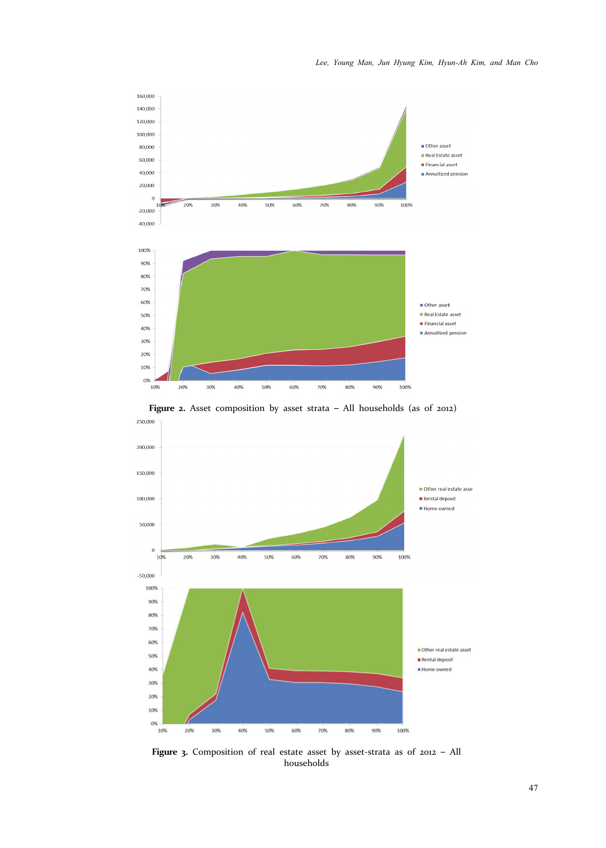

**Figure 2.** Asset composition by asset strata – All households (as of 2012)



Figure 3. Composition of real estate asset by asset-strata as of 2012 - All households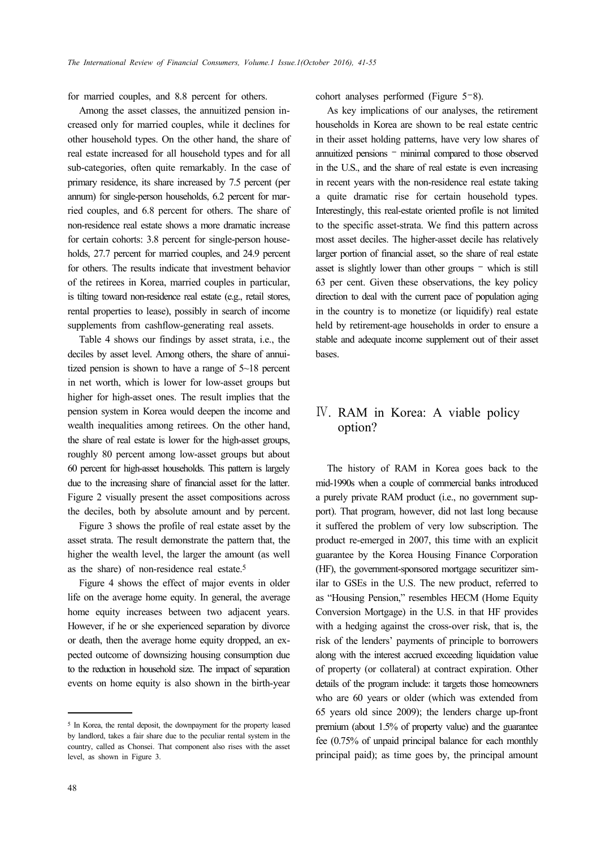for married couples, and 8.8 percent for others.

Among the asset classes, the annuitized pension increased only for married couples, while it declines for other household types. On the other hand, the share of real estate increased for all household types and for all sub-categories, often quite remarkably. In the case of primary residence, its share increased by 7.5 percent (per annum) for single-person households, 6.2 percent for married couples, and 6.8 percent for others. The share of non-residence real estate shows a more dramatic increase for certain cohorts: 3.8 percent for single-person households, 27.7 percent for married couples, and 24.9 percent for others. The results indicate that investment behavior of the retirees in Korea, married couples in particular, is tilting toward non-residence real estate (e.g., retail stores, rental properties to lease), possibly in search of income supplements from cashflow-generating real assets.

Table 4 shows our findings by asset strata, i.e., the deciles by asset level. Among others, the share of annuitized pension is shown to have a range of 5~18 percent in net worth, which is lower for low-asset groups but higher for high-asset ones. The result implies that the pension system in Korea would deepen the income and wealth inequalities among retirees. On the other hand, the share of real estate is lower for the high-asset groups, roughly 80 percent among low-asset groups but about 60 percent for high-asset households. This pattern is largely due to the increasing share of financial asset for the latter. Figure 2 visually present the asset compositions across the deciles, both by absolute amount and by percent.

Figure 3 shows the profile of real estate asset by the asset strata. The result demonstrate the pattern that, the higher the wealth level, the larger the amount (as well as the share) of non-residence real estate.5

Figure 4 shows the effect of major events in older life on the average home equity. In general, the average home equity increases between two adjacent years. However, if he or she experienced separation by divorce or death, then the average home equity dropped, an expected outcome of downsizing housing consumption due to the reduction in household size. The impact of separation events on home equity is also shown in the birth-year

cohort analyses performed (Figure 5–8).

As key implications of our analyses, the retirement households in Korea are shown to be real estate centric in their asset holding patterns, have very low shares of annuitized pensions – minimal compared to those observed in the U.S., and the share of real estate is even increasing in recent years with the non-residence real estate taking a quite dramatic rise for certain household types. Interestingly, this real-estate oriented profile is not limited to the specific asset-strata. We find this pattern across most asset deciles. The higher-asset decile has relatively larger portion of financial asset, so the share of real estate asset is slightly lower than other groups – which is still 63 per cent. Given these observations, the key policy direction to deal with the current pace of population aging in the country is to monetize (or liquidify) real estate held by retirement-age households in order to ensure a stable and adequate income supplement out of their asset bases.

# Ⅳ. RAM in Korea: A viable policy option?

The history of RAM in Korea goes back to the mid-1990s when a couple of commercial banks introduced a purely private RAM product (i.e., no government support). That program, however, did not last long because it suffered the problem of very low subscription. The product re-emerged in 2007, this time with an explicit guarantee by the Korea Housing Finance Corporation (HF), the government-sponsored mortgage securitizer similar to GSEs in the U.S. The new product, referred to as "Housing Pension," resembles HECM (Home Equity Conversion Mortgage) in the U.S. in that HF provides with a hedging against the cross-over risk, that is, the risk of the lenders' payments of principle to borrowers along with the interest accrued exceeding liquidation value of property (or collateral) at contract expiration. Other details of the program include: it targets those homeowners who are 60 years or older (which was extended from 65 years old since 2009); the lenders charge up-front premium (about 1.5% of property value) and the guarantee fee (0.75% of unpaid principal balance for each monthly principal paid); as time goes by, the principal amount

<sup>5</sup> In Korea, the rental deposit, the downpayment for the property leased by landlord, takes a fair share due to the peculiar rental system in the country, called as Chonsei. That component also rises with the asset level, as shown in Figure 3.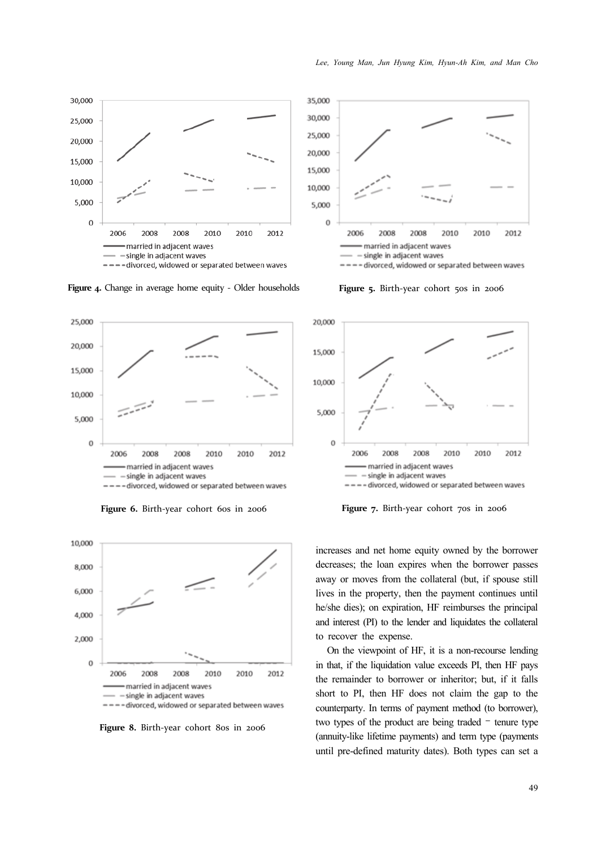

**Figure** 4. Change in average home equity - Older households



Figure 6. Birth-year cohort 60s in 2006



Figure 8. Birth-year cohort 80s in 2006



Figure 5. Birth-year cohort 50s in 2006



**Figure** 7. Birth-year cohort 70s in 2006

increases and net home equity owned by the borrower decreases; the loan expires when the borrower passes away or moves from the collateral (but, if spouse still lives in the property, then the payment continues until he/she dies); on expiration, HF reimburses the principal and interest (PI) to the lender and liquidates the collateral to recover the expense.

On the viewpoint of HF, it is a non-recourse lending in that, if the liquidation value exceeds PI, then HF pays the remainder to borrower or inheritor; but, if it falls short to PI, then HF does not claim the gap to the counterparty. In terms of payment method (to borrower), two types of the product are being traded – tenure type (annuity-like lifetime payments) and term type (payments until pre-defined maturity dates). Both types can set a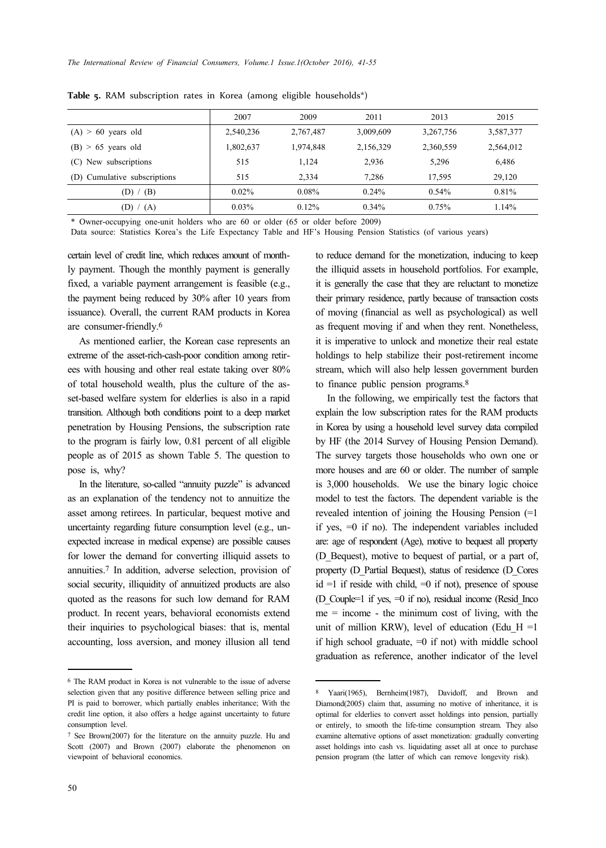|                              | 2007      | 2009      | 2011      | 2013      | 2015      |
|------------------------------|-----------|-----------|-----------|-----------|-----------|
| $(A) > 60$ years old         | 2,540,236 | 2,767,487 | 3,009,609 | 3,267,756 | 3,587,377 |
| $(B) > 65$ years old         | 1,802,637 | 1,974,848 | 2,156,329 | 2,360,559 | 2,564,012 |
| New subscriptions<br>(C)     | 515       | 1.124     | 2,936     | 5,296     | 6,486     |
| (D) Cumulative subscriptions | 515       | 2,334     | 7,286     | 17.595    | 29,120    |
| (D) / (B)                    | 0.02%     | 0.08%     | 0.24%     | 0.54%     | 0.81%     |
| (D) $/$ (A)                  | 0.03%     | 0.12%     | 0.34%     | 0.75%     | 1.14%     |
|                              |           |           |           |           |           |

**Table 5.** RAM subscription rates in Korea (among eligible households\*)

\* Owner-occupying one-unit holders who are 60 or older (65 or older before 2009)

Data source: Statistics Korea's the Life Expectancy Table and HF's Housing Pension Statistics (of various years)

certain level of credit line, which reduces amount of monthly payment. Though the monthly payment is generally fixed, a variable payment arrangement is feasible (e.g., the payment being reduced by 30% after 10 years from issuance). Overall, the current RAM products in Korea are consumer-friendly.6

As mentioned earlier, the Korean case represents an extreme of the asset-rich-cash-poor condition among retirees with housing and other real estate taking over 80% of total household wealth, plus the culture of the asset-based welfare system for elderlies is also in a rapid transition. Although both conditions point to a deep market penetration by Housing Pensions, the subscription rate to the program is fairly low, 0.81 percent of all eligible people as of 2015 as shown Table 5. The question to pose is, why?

In the literature, so-called "annuity puzzle" is advanced as an explanation of the tendency not to annuitize the asset among retirees. In particular, bequest motive and uncertainty regarding future consumption level (e.g., unexpected increase in medical expense) are possible causes for lower the demand for converting illiquid assets to annuities.7 In addition, adverse selection, provision of social security, illiquidity of annuitized products are also quoted as the reasons for such low demand for RAM product. In recent years, behavioral economists extend their inquiries to psychological biases: that is, mental accounting, loss aversion, and money illusion all tend

to reduce demand for the monetization, inducing to keep the illiquid assets in household portfolios. For example, it is generally the case that they are reluctant to monetize their primary residence, partly because of transaction costs of moving (financial as well as psychological) as well as frequent moving if and when they rent. Nonetheless, it is imperative to unlock and monetize their real estate holdings to help stabilize their post-retirement income stream, which will also help lessen government burden to finance public pension programs.8

In the following, we empirically test the factors that explain the low subscription rates for the RAM products in Korea by using a household level survey data compiled by HF (the 2014 Survey of Housing Pension Demand). The survey targets those households who own one or more houses and are 60 or older. The number of sample is 3,000 households. We use the binary logic choice model to test the factors. The dependent variable is the revealed intention of joining the Housing Pension (=1 if yes, =0 if no). The independent variables included are: age of respondent (Age), motive to bequest all property (D\_Bequest), motive to bequest of partial, or a part of, property (D\_Partial Bequest), status of residence (D\_Cores  $id = 1$  if reside with child,  $= 0$  if not), presence of spouse (D Couple=1 if yes,  $=0$  if no), residual income (Resid Inco  $me = income - the minimum cost of living, with the$ unit of million KRW), level of education (Edu H =1 if high school graduate,  $=0$  if not) with middle school graduation as reference, another indicator of the level

<sup>6</sup> The RAM product in Korea is not vulnerable to the issue of adverse selection given that any positive difference between selling price and PI is paid to borrower, which partially enables inheritance; With the credit line option, it also offers a hedge against uncertainty to future consumption level.

<sup>7</sup> See Brown(2007) for the literature on the annuity puzzle. Hu and Scott (2007) and Brown (2007) elaborate the phenomenon on viewpoint of behavioral economics.

<sup>8</sup> Yaari(1965), Bernheim(1987), Davidoff, and Brown and Diamond(2005) claim that, assuming no motive of inheritance, it is optimal for elderlies to convert asset holdings into pension, partially or entirely, to smooth the life-time consumption stream. They also examine alternative options of asset monetization: gradually converting asset holdings into cash vs. liquidating asset all at once to purchase pension program (the latter of which can remove longevity risk).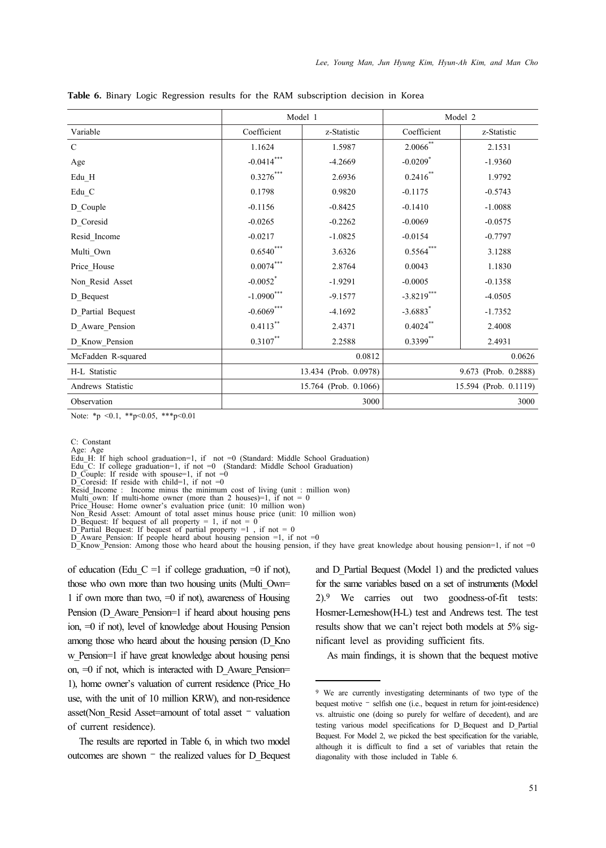|                         |                                                | Model 1     | Model 2                |                      |  |
|-------------------------|------------------------------------------------|-------------|------------------------|----------------------|--|
| Variable                | Coefficient                                    | z-Statistic | Coefficient            | z-Statistic          |  |
| $\mathcal{C}$           | 1.1624                                         | 1.5987      | $2.0066$ <sup>**</sup> | 2.1531               |  |
| Age                     | $-0.0414***$                                   | $-4.2669$   | $-0.0209$ <sup>*</sup> | $-1.9360$            |  |
| Edu H                   | $0.3276^{\ast\ast\ast}$                        | 2.6936      | $0.2416^{**}$          | 1.9792               |  |
| $\operatorname{Edu\_C}$ | 0.1798                                         | 0.9820      | $-0.1175$              | $-0.5743$            |  |
| D_Couple                | $-0.1156$                                      | $-0.8425$   | $-0.1410$              | $-1.0088$            |  |
| D Coresid               | $-0.0265$                                      | $-0.2262$   | $-0.0069$              | $-0.0575$            |  |
| Resid_Income            | $-0.0217$                                      | $-1.0825$   | $-0.0154$              | $-0.7797$            |  |
| Multi Own               | $0.6540^{\ast\ast\ast}$                        | 3.6326      | $0.5564***$            | 3.1288               |  |
| Price House             | $0.0074***$                                    | 2.8764      | 0.0043                 | 1.1830               |  |
| Non Resid Asset         | $-0.0052$ <sup>*</sup>                         | $-1.9291$   | $-0.0005$              | $-0.1358$            |  |
| D Bequest               | $-1.0900$ ***                                  | $-9.1577$   | $-3.8219***$           | $-4.0505$            |  |
| D Partial Bequest       | $-0.6069$ ***                                  | $-4.1692$   | $-3.6883$ <sup>*</sup> | $-1.7352$            |  |
| D Aware Pension         | $0.4113$ **                                    | 2.4371      | $0.4024$ **            | 2.4008               |  |
| D Know Pension          | $0.3107***$                                    | 2.2588      | $0.3399$ **            | 2.4931               |  |
| McFadden R-squared      |                                                | 0.0812      | 0.0626                 |                      |  |
| H-L Statistic           | 13.434 (Prob. 0.0978)                          |             |                        | 9.673 (Prob. 0.2888) |  |
| Andrews Statistic       | 15.764 (Prob. 0.1066)<br>15.594 (Prob. 0.1119) |             |                        |                      |  |
| Observation             | 3000<br>3000                                   |             |                        |                      |  |

**Table 6.** Binary Logic Regression results for the RAM subscription decision in Korea

Note: \*p <0.1, \*\*p<0.05, \*\*\*p<0.01

C: Constant

Age: Age

Edu\_H: If high school graduation=1, if not =0 (Standard: Middle School Graduation) Edu\_C: If college graduation=1, if not =0 (Standard: Middle School Graduation) D\_Couple: If reside with spouse=1, if not =0

 $D_{\text{Coresid}}$ : If reside with child=1, if not =0

Resid\_Income : Income minus the minimum cost of living (unit : million won) Multi<sup>-</sup>own: If multi-home owner (more than 2 houses)=1, if not = 0

Price House: Home owner's evaluation price (unit: 10 million won)

Non\_Resid Asset: Amount of total asset minus house price (unit: 10 million won)

D\_Bequest: If bequest of all property = 1, if not = 0

 $D$ <sup>-</sup>Partial Bequest: If bequest of partial property =1, if not = 0

D\_Aware\_Pension: If people heard about housing pension =1, if not =0<br>D\_Know\_Pension: Among those who heard about the housing pension, if they have great knowledge about housing pension=1, if not =0

of education (Edu C =1 if college graduation,  $=0$  if not), those who own more than two housing units (Multi Own= 1 if own more than two,  $=0$  if not), awareness of Housing Pension (D\_Aware\_Pension=1 if heard about housing pens ion, =0 if not), level of knowledge about Housing Pension among those who heard about the housing pension (D\_Kno w Pension=1 if have great knowledge about housing pensi on,  $=0$  if not, which is interacted with D Aware Pension= 1), home owner's valuation of current residence (Price\_Ho use, with the unit of 10 million KRW), and non-residence asset(Non\_Resid Asset=amount of total asset – valuation of current residence).

The results are reported in Table 6, in which two model outcomes are shown – the realized values for D\_Bequest and D\_Partial Bequest (Model 1) and the predicted values for the same variables based on a set of instruments (Model 2).9 We carries out two goodness-of-fit tests: Hosmer-Lemeshow(H-L) test and Andrews test. The test results show that we can't reject both models at 5% significant level as providing sufficient fits.

As main findings, it is shown that the bequest motive

<sup>9</sup> We are currently investigating determinants of two type of the bequest motive – selfish one (i.e., bequest in return for joint-residence) vs. altruistic one (doing so purely for welfare of decedent), and are testing various model specifications for D\_Bequest and D\_Partial Bequest. For Model 2, we picked the best specification for the variable, although it is difficult to find a set of variables that retain the diagonality with those included in Table 6.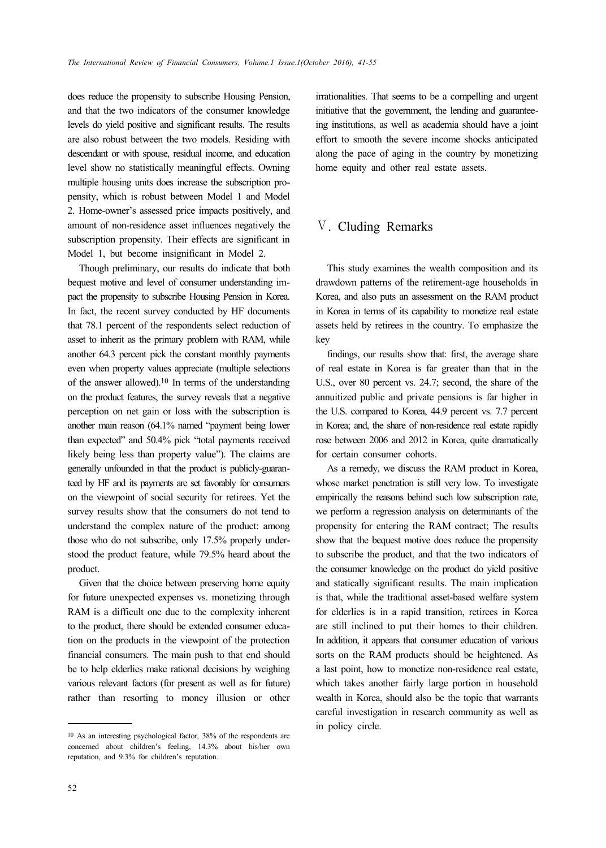does reduce the propensity to subscribe Housing Pension, and that the two indicators of the consumer knowledge levels do yield positive and significant results. The results are also robust between the two models. Residing with descendant or with spouse, residual income, and education level show no statistically meaningful effects. Owning multiple housing units does increase the subscription propensity, which is robust between Model 1 and Model 2. Home-owner's assessed price impacts positively, and amount of non-residence asset influences negatively the subscription propensity. Their effects are significant in Model 1, but become insignificant in Model 2.

Though preliminary, our results do indicate that both bequest motive and level of consumer understanding impact the propensity to subscribe Housing Pension in Korea. In fact, the recent survey conducted by HF documents that 78.1 percent of the respondents select reduction of asset to inherit as the primary problem with RAM, while another 64.3 percent pick the constant monthly payments even when property values appreciate (multiple selections of the answer allowed).10 In terms of the understanding on the product features, the survey reveals that a negative perception on net gain or loss with the subscription is another main reason (64.1% named "payment being lower than expected" and 50.4% pick "total payments received likely being less than property value"). The claims are generally unfounded in that the product is publicly-guaranteed by HF and its payments are set favorably for consumers on the viewpoint of social security for retirees. Yet the survey results show that the consumers do not tend to understand the complex nature of the product: among those who do not subscribe, only 17.5% properly understood the product feature, while 79.5% heard about the product.

Given that the choice between preserving home equity for future unexpected expenses vs. monetizing through RAM is a difficult one due to the complexity inherent to the product, there should be extended consumer education on the products in the viewpoint of the protection financial consumers. The main push to that end should be to help elderlies make rational decisions by weighing various relevant factors (for present as well as for future) rather than resorting to money illusion or other irrationalities. That seems to be a compelling and urgent initiative that the government, the lending and guaranteeing institutions, as well as academia should have a joint effort to smooth the severe income shocks anticipated along the pace of aging in the country by monetizing home equity and other real estate assets.

### Ⅴ. Cluding Remarks

This study examines the wealth composition and its drawdown patterns of the retirement-age households in Korea, and also puts an assessment on the RAM product in Korea in terms of its capability to monetize real estate assets held by retirees in the country. To emphasize the key

findings, our results show that: first, the average share of real estate in Korea is far greater than that in the U.S., over 80 percent vs. 24.7; second, the share of the annuitized public and private pensions is far higher in the U.S. compared to Korea, 44.9 percent vs. 7.7 percent in Korea; and, the share of non-residence real estate rapidly rose between 2006 and 2012 in Korea, quite dramatically for certain consumer cohorts.

As a remedy, we discuss the RAM product in Korea, whose market penetration is still very low. To investigate empirically the reasons behind such low subscription rate, we perform a regression analysis on determinants of the propensity for entering the RAM contract; The results show that the bequest motive does reduce the propensity to subscribe the product, and that the two indicators of the consumer knowledge on the product do yield positive and statically significant results. The main implication is that, while the traditional asset-based welfare system for elderlies is in a rapid transition, retirees in Korea are still inclined to put their homes to their children. In addition, it appears that consumer education of various sorts on the RAM products should be heightened. As a last point, how to monetize non-residence real estate, which takes another fairly large portion in household wealth in Korea, should also be the topic that warrants careful investigation in research community as well as in policy circle.

<sup>10</sup> As an interesting psychological factor, 38% of the respondents are concerned about children's feeling, 14.3% about his/her own reputation, and 9.3% for children's reputation.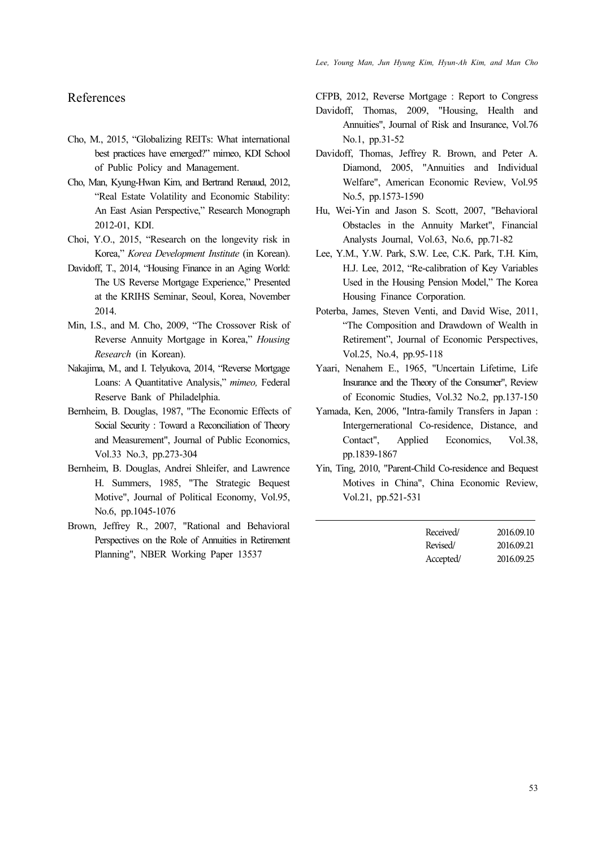## References

- Cho, M., 2015, "Globalizing REITs: What international best practices have emerged?" mimeo, KDI School of Public Policy and Management.
- Cho, Man, Kyung-Hwan Kim, and Bertrand Renaud, 2012, "Real Estate Volatility and Economic Stability: An East Asian Perspective," Research Monograph 2012-01, KDI.
- Choi, Y.O., 2015, "Research on the longevity risk in Korea," *Korea Development Institute* (in Korean).
- Davidoff, T., 2014, "Housing Finance in an Aging World: The US Reverse Mortgage Experience," Presented at the KRIHS Seminar, Seoul, Korea, November 2014.
- Min, I.S., and M. Cho, 2009, "The Crossover Risk of Reverse Annuity Mortgage in Korea," *Housing Research* (in Korean).
- Nakajima, M., and I. Telyukova, 2014, "Reverse Mortgage Loans: A Quantitative Analysis," *mimeo,* Federal Reserve Bank of Philadelphia.
- Bernheim, B. Douglas, 1987, "The Economic Effects of Social Security : Toward a Reconciliation of Theory and Measurement", Journal of Public Economics, Vol.33 No.3, pp.273-304
- Bernheim, B. Douglas, Andrei Shleifer, and Lawrence H. Summers, 1985, "The Strategic Bequest Motive", Journal of Political Economy, Vol.95, No.6, pp.1045-1076
- Brown, Jeffrey R., 2007, "Rational and Behavioral Perspectives on the Role of Annuities in Retirement Planning", NBER Working Paper 13537

CFPB, 2012, Reverse Mortgage : Report to Congress

- Davidoff, Thomas, 2009, "Housing, Health and Annuities", Journal of Risk and Insurance, Vol.76 No.1, pp.31-52
- Davidoff, Thomas, Jeffrey R. Brown, and Peter A. Diamond, 2005, "Annuities and Individual Welfare", American Economic Review, Vol.95 No.5, pp.1573-1590
- Hu, Wei-Yin and Jason S. Scott, 2007, "Behavioral Obstacles in the Annuity Market", Financial Analysts Journal, Vol.63, No.6, pp.71-82
- Lee, Y.M., Y.W. Park, S.W. Lee, C.K. Park, T.H. Kim, H.J. Lee, 2012, "Re-calibration of Key Variables Used in the Housing Pension Model," The Korea Housing Finance Corporation.
- Poterba, James, Steven Venti, and David Wise, 2011, "The Composition and Drawdown of Wealth in Retirement", Journal of Economic Perspectives, Vol.25, No.4, pp.95-118
- Yaari, Nenahem E., 1965, "Uncertain Lifetime, Life Insurance and the Theory of the Consumer", Review of Economic Studies, Vol.32 No.2, pp.137-150
- Yamada, Ken, 2006, "Intra-family Transfers in Japan : Intergernerational Co-residence, Distance, and Contact", Applied Economics, Vol.38, pp.1839-1867
- Yin, Ting, 2010, "Parent-Child Co-residence and Bequest Motives in China", China Economic Review, Vol.21, pp.521-531

| Received/ | 2016.09.10 |
|-----------|------------|
| Revised/  | 2016.09.21 |
| Accepted/ | 2016.09.25 |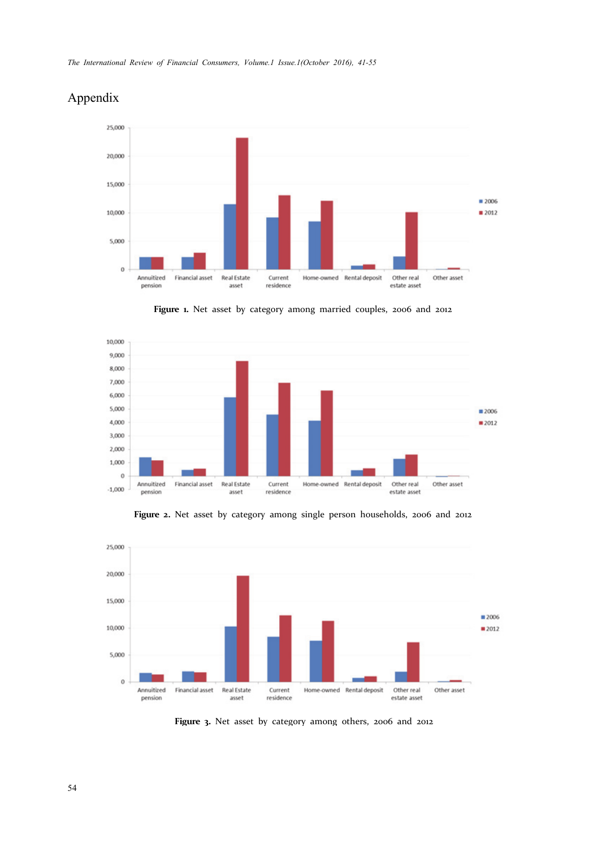

# Appendix

**Figure 1.** Net asset by category among married couples, 2006 and 2012





**Figure 2.** Net asset by category among single person households, 2006 and 2012

**Figure 3.** Net asset by category among others, 2006 and 2012